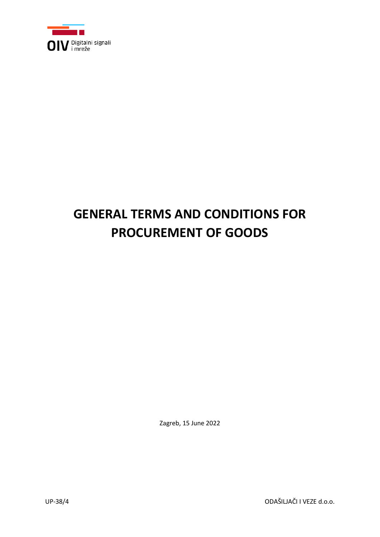

# **GENERAL TERMS AND CONDITIONS FOR PROCUREMENT OF GOODS**

Zagreb, 15 June 2022

UP-38/4 ODAŠILJAČI I VEZE d.o.o.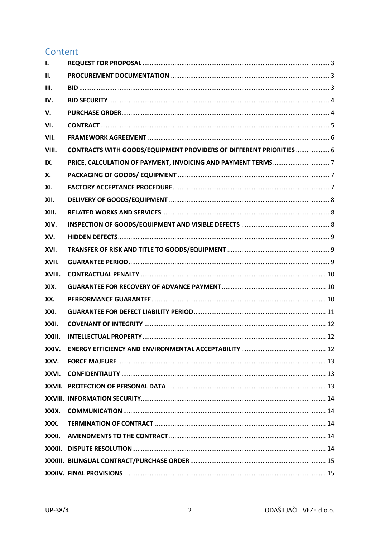# Content

| $\mathbf{I}$ . |                                                                     |  |
|----------------|---------------------------------------------------------------------|--|
| II.            |                                                                     |  |
| III.           |                                                                     |  |
| IV.            |                                                                     |  |
| V.             |                                                                     |  |
| VI.            |                                                                     |  |
| VII.           |                                                                     |  |
| VIII.          | CONTRACTS WITH GOODS/EQUIPMENT PROVIDERS OF DIFFERENT PRIORITIES  6 |  |
| IX.            |                                                                     |  |
| Х.             |                                                                     |  |
| XI.            |                                                                     |  |
| XII.           |                                                                     |  |
| XIII.          |                                                                     |  |
| XIV.           |                                                                     |  |
| XV.            |                                                                     |  |
| XVI.           |                                                                     |  |
| XVII.          |                                                                     |  |
| XVIII.         |                                                                     |  |
| XIX.           |                                                                     |  |
| XX.            |                                                                     |  |
| XXI.           |                                                                     |  |
| XXII.          |                                                                     |  |
| XXIII.         |                                                                     |  |
| XXIV.          |                                                                     |  |
| XXV.           |                                                                     |  |
| XXVI.          |                                                                     |  |
| XXVII.         |                                                                     |  |
|                |                                                                     |  |
| XXIX.          |                                                                     |  |
| XXX.           |                                                                     |  |
| XXXI.          |                                                                     |  |
| XXXII.         |                                                                     |  |
|                |                                                                     |  |
|                |                                                                     |  |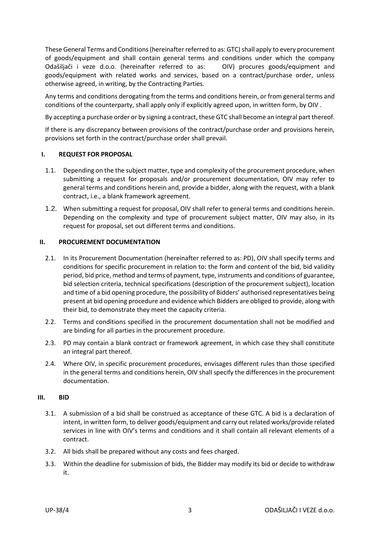These General Terms and Conditions (hereinafter referred to as: GTC) shall apply to every procurement of goods/equipment and shall contain general terms and conditions under which the company Odašiljači i veze d.o.o. (hereinafter referred to as: OIV) procures goods/equipment and goods/equipment with related works and services, based on a contract/purchase order, unless otherwise agreed, in writing, by the Contracting Parties.

Any terms and conditions derogating from the terms and conditions herein, or from general terms and conditions of the counterparty, shall apply only if explicitly agreed upon, in written form, by OIV .

By accepting a purchase order or by signing a contract, these GTC shall become an integral part thereof.

If there is any discrepancy between provisions of the contract/purchase order and provisions herein, provisions set forth in the contract/purchase order shall prevail.

### <span id="page-2-0"></span>**I. REQUEST FOR PROPOSAL**

- 1.1. Depending on the the subject matter, type and complexity of the procurement procedure, when submitting a request for proposals and/or procurement documentation, OIV may refer to general terms and conditions herein and, provide a bidder, along with the request, with a blank contract, i.e., a blank framework agreement.
- 1.2. When submitting a request for proposal, OIV shall refer to general terms and conditions herein. Depending on the complexity and type of procurement subject matter, OIV may also, in its request for proposal, set out different terms and conditions.

### <span id="page-2-1"></span>**II. PROCUREMENT DOCUMENTATION**

- 2.1. In its Procurement Documentation (hereinafter referred to as: PD), OIV shall specify terms and conditions for specific procurement in relation to: the form and content of the bid, bid validity period, bid price, method and terms of payment, type, instruments and conditions of guarantee, bid selection criteria, technical specifications (description of the procurement subject), location and time of a bid opening procedure, the possibility of Bidders' authorised representatives being present at bid opening procedure and evidence which Bidders are obliged to provide, along with their bid, to demonstrate they meet the capacity criteria.
- 2.2. Terms and conditions specified in the procurement documentation shall not be modified and are binding for all parties in the procurement procedure.
- 2.3. PD may contain a blank contract or framework agreement, in which case they shall constitute an integral part thereof.
- 2.4. Where OIV, in specific procurement procedures, envisages different rules than those specified in the general terms and conditions herein, OIV shall specify the differences in the procurement documentation.

#### <span id="page-2-2"></span>**III. BID**

- 3.1. A submission of a bid shall be construed as acceptance of these GTC. A bid is a declaration of intent, in written form, to deliver goods/equipment and carry out related works/provide related services in line with OIV's terms and conditions and it shall contain all relevant elements of a contract.
- 3.2. All bids shall be prepared without any costs and fees charged.
- 3.3. Within the deadline for submission of bids, the Bidder may modify its bid or decide to withdraw it.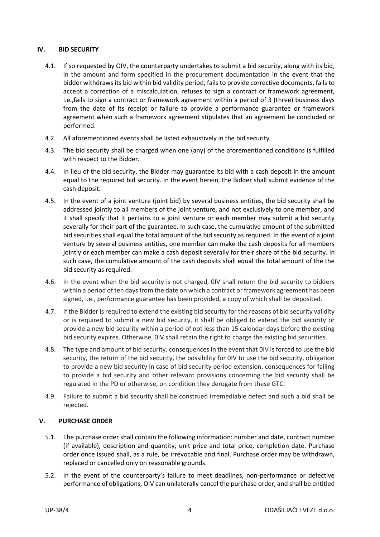## <span id="page-3-0"></span>**IV. BID SECURITY**

- 4.1. If so requested by OIV, the counterparty undertakes to submit a bid security, along with its bid, in the amount and form specified in the procurement documentation in the event that the bidder withdraws its bid within bid validity period, fails to provide corrective documents, fails to accept a correction of a miscalculation, refuses to sign a contract or framework agreement, i.e.,fails to sign a contract or framework agreement within a period of 3 (three) business days from the date of its receipt or failure to provide a performance guarantee or framework agreement when such a framework agreement stipulates that an agreement be concluded or performed.
- 4.2. All aforementioned events shall be listed exhaustively in the bid security.
- 4.3. The bid security shall be charged when one (any) of the aforementioned conditions is fulfilled with respect to the Bidder.
- 4.4. In lieu of the bid security, the Bidder may guarantee its bid with a cash deposit in the amount equal to the required bid security. In the event herein, the Bidder shall submit evidence of the cash deposit.
- 4.5. In the event of a joint venture (joint bid) by several business entities, the bid security shall be addressed jointly to all members of the joint venture, and not exclusively to one member, and it shall specify that it pertains to a joint venture or each member may submit a bid security severally for their part of the guarantee. In such case, the cumulative amount of the submitted bid securities shall equal the total amount of the bid security as required. In the event of a joint venture by several business entities, one member can make the cash deposits for all members jointly or each member can make a cash deposit severally for their share of the bid security. In such case, the cumulative amount of the cash deposits shall equal the total amount of the the bid security as required.
- 4.6. In the event when the bid security is not charged, 0IV shall return the bid security to bidders within a period of ten days from the date on which a contract or framework agreement has been signed, i.e., performance guarantee has been provided, a copy of which shall be deposited.
- 4.7. If the Bidder is required to extend the existing bid security for the reasons of bid security validity or is required to submit a new bid security, it shall be obliged to extend the bid security or provide a new bid security within a period of not less than 15 calendar days before the existing bid security expires. Otherwise, 0IV shall retain the right to charge the existing bid securities.
- 4.8. The type and amount of bid security, consequences in the event that 0IV is forced to use the bid security, the return of the bid security, the possibility for 0IV to use the bid security, obligation to provide a new bid security in case of bid security period extension, consequences for failing to provide a bid security and other relevant provisions concerning the bid security shall be regulated in the PD or otherwise, on condition they derogate from these GTC.
- 4.9. Failure to submit a bid security shall be construed irremediable defect and such a bid shall be rejected.

# <span id="page-3-1"></span>**V. PURCHASE ORDER**

- 5.1. The purchase order shall contain the following information: number and date, contract number (if available), description and quantity, unit price and total price, completion date. Purchase order once issued shall, as a rule, be irrevocable and final. Purchase order may be withdrawn, replaced or cancelled only on reasonable grounds.
- 5.2. In the event of the counterparty's failure to meet deadlines, non-performance or defective performance of obligations, OIV can unilaterally cancel the purchase order, and shall be entitled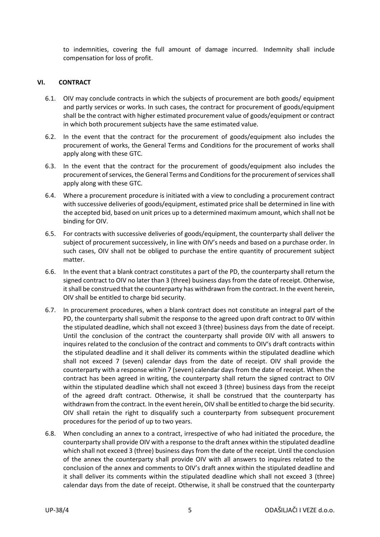to indemnities, covering the full amount of damage incurred. Indemnity shall include compensation for loss of profit.

# <span id="page-4-0"></span>**VI. CONTRACT**

- 6.1. OIV may conclude contracts in which the subjects of procurement are both goods/ equipment and partly services or works. In such cases, the contract for procurement of goods/equipment shall be the contract with higher estimated procurement value of goods/equipment or contract in which both procurement subjects have the same estimated value.
- 6.2. In the event that the contract for the procurement of goods/equipment also includes the procurement of works, the General Terms and Conditions for the procurement of works shall apply along with these GTC.
- 6.3. In the event that the contract for the procurement of goods/equipment also includes the procurement of services, the General Terms and Conditions for the procurement of services shall apply along with these GTC.
- 6.4. Where a procurement procedure is initiated with a view to concluding a procurement contract with successive deliveries of goods/equipment, estimated price shall be determined in line with the accepted bid, based on unit prices up to a determined maximum amount, which shall not be binding for OIV.
- 6.5. For contracts with successive deliveries of goods/equipment, the counterparty shall deliver the subject of procurement successively, in line with OIV's needs and based on a purchase order. In such cases, OIV shall not be obliged to purchase the entire quantity of procurement subject matter.
- <span id="page-4-1"></span>6.6. In the event that a blank contract constitutes a part of the PD, the counterparty shall return the signed contract to OIV no later than 3 (three) business days from the date of receipt. Otherwise, it shall be construed that the counterparty has withdrawn from the contract. In the event herein, OIV shall be entitled to charge bid security.
- <span id="page-4-2"></span>6.7. In procurement procedures, when a blank contract does not constitute an integral part of the PD, the counterparty shall submit the response to the agreed upon draft contract to 0IV within the stipulated deadline, which shall not exceed 3 (three) business days from the date of receipt. Until the conclusion of the contract the counterparty shall provide 0IV with all answers to inquires related to the conclusion of the contract and comments to OIV's draft contracts within the stipulated deadline and it shall deliver its comments within the stipulated deadline which shall not exceed 7 (seven) calendar days from the date of receipt. OIV shall provide the counterparty with a response within 7 (seven) calendar days from the date of receipt. When the contract has been agreed in writing, the counterparty shall return the signed contract to OIV within the stipulated deadline which shall not exceed 3 (three) business days from the receipt of the agreed draft contract. Otherwise, it shall be construed that the counterparty has withdrawn from the contract. In the event herein, OIV shall be entitled to charge the bid security. OIV shall retain the right to disqualify such a counterparty from subsequent procurement procedures for the period of up to two years.
- <span id="page-4-3"></span>6.8. When concluding an annex to a contract, irrespective of who had initiated the procedure, the counterparty shall provide OIV with a response to the draft annex within the stipulated deadline which shall not exceed 3 (three) business days from the date of the receipt. Until the conclusion of the annex the counterparty shall provide OIV with all answers to inquires related to the conclusion of the annex and comments to OIV's draft annex within the stipulated deadline and it shall deliver its comments within the stipulated deadline which shall not exceed 3 (three) calendar days from the date of receipt. Otherwise, it shall be construed that the counterparty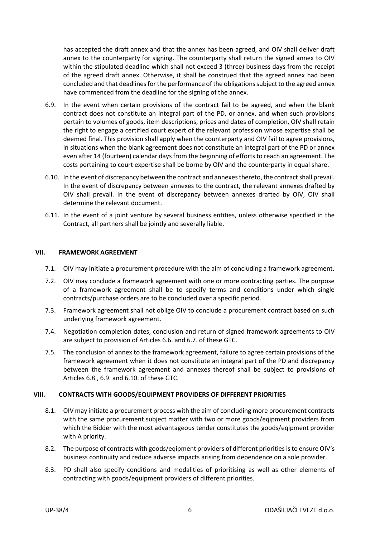has accepted the draft annex and that the annex has been agreed, and OIV shall deliver draft annex to the counterparty for signing. The counterparty shall return the signed annex to OIV within the stipulated deadline which shall not exceed 3 (three) business days from the receipt of the agreed draft annex. Otherwise, it shall be construed that the agreed annex had been concluded and that deadlines for the performance of the obligations subject to the agreed annex have commenced from the deadline for the signing of the annex.

- <span id="page-5-2"></span>6.9. In the event when certain provisions of the contract fail to be agreed, and when the blank contract does not constitute an integral part of the PD, or annex, and when such provisions pertain to volumes of goods, item descriptions, prices and dates of completion, OIV shall retain the right to engage a certified court expert of the relevant profession whose expertise shall be deemed final. This provision shall apply when the counterparty and OIV fail to agree provisions, in situations when the blank agreement does not constitute an integral part of the PD or annex even after 14 (fourteen) calendar days from the beginning of efforts to reach an agreement. The costs pertaining to court expertise shall be borne by OIV and the counterparty in equal share.
- <span id="page-5-3"></span>6.10. In the event of discrepancy between the contract and annexes thereto, the contract shall prevail. In the event of discrepancy between annexes to the contract, the relevant annexes drafted by OIV shall prevail. In the event of discrepancy between annexes drafted by OIV, OIV shall determine the relevant document.
- 6.11. In the event of a joint venture by several business entities, unless otherwise specified in the Contract, all partners shall be jointly and severally liable.

### <span id="page-5-0"></span>**VII. FRAMEWORK AGREEMENT**

- 7.1. OIV may initiate a procurement procedure with the aim of concluding a framework agreement.
- 7.2. OIV may conclude a framework agreement with one or more contracting parties. The purpose of a framework agreement shall be to specify terms and conditions under which single contracts/purchase orders are to be concluded over a specific period.
- 7.3. Framework agreement shall not oblige OIV to conclude a procurement contract based on such underlying framework agreement.
- 7.4. Negotiation completion dates, conclusion and return of signed framework agreements to OIV are subject to provision of Articles [6.6.](#page-4-1) and [6.7.](#page-4-2) of these GTC.
- 7.5. The conclusion of annex to the framework agreement, failure to agree certain provisions of the framework agreement when it does not constitute an integral part of the PD and discrepancy between the framework agreement and annexes thereof shall be subject to provisions of Articles [6.8.](#page-4-3), [6.9.](#page-5-2) an[d 6.10.](#page-5-3) of these GTC.

#### <span id="page-5-1"></span>**VIII. CONTRACTS WITH GOODS/EQUIPMENT PROVIDERS OF DIFFERENT PRIORITIES**

- 8.1. OIV may initiate a procurement process with the aim of concluding more procurement contracts with the same procurement subject matter with two or more goods/eqipment providers from which the Bidder with the most advantageous tender constitutes the goods/eqipment provider with A priority.
- 8.2. The purpose of contracts with goods/eqipment providers of different priorities is to ensure OIV's business continuity and reduce adverse impacts arising from dependence on a sole provider.
- 8.3. PD shall also specify conditions and modalities of prioritising as well as other elements of contracting with goods/equipment providers of different priorities.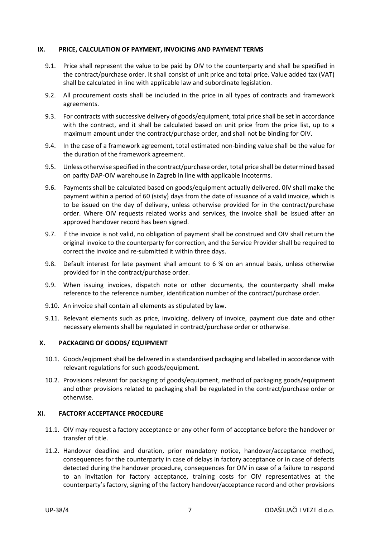#### <span id="page-6-0"></span>**IX. PRICE, CALCULATION OF PAYMENT, INVOICING AND PAYMENT TERMS**

- 9.1. Price shall represent the value to be paid by OIV to the counterparty and shall be specified in the contract/purchase order. It shall consist of unit price and total price. Value added tax (VAT) shall be calculated in line with applicable law and subordinate legislation.
- 9.2. All procurement costs shall be included in the price in all types of contracts and framework agreements.
- 9.3. For contracts with successive delivery of goods/equipment, total price shall be set in accordance with the contract, and it shall be calculated based on unit price from the price list, up to a maximum amount under the contract/purchase order, and shall not be binding for OIV.
- 9.4. In the case of a framework agreement, total estimated non-binding value shall be the value for the duration of the framework agreement.
- 9.5. Unless otherwise specified in the contract/purchase order, total price shall be determined based on parity DAP-OIV warehouse in Zagreb in line with applicable Incoterms.
- 9.6. Payments shall be calculated based on goods/equipment actually delivered. 0IV shall make the payment within a period of 60 (sixty) days from the date of issuance of a valid invoice, which is to be issued on the day of delivery, unless otherwise provided for in the contract/purchase order. Where OIV requests related works and services, the invoice shall be issued after an approved handover record has been signed.
- 9.7. If the invoice is not valid, no obligation of payment shall be construed and OIV shall return the original invoice to the counterparty for correction, and the Service Provider shall be required to correct the invoice and re-submitted it within three days.
- 9.8. Default interest for late payment shall amount to 6 % on an annual basis, unless otherwise provided for in the contract/purchase order.
- 9.9. When issuing invoices, dispatch note or other documents, the counterparty shall make reference to the reference number, identification number of the contract/purchase order.
- 9.10. An invoice shall contain all elements as stipulated by law.
- 9.11. Relevant elements such as price, invoicing, delivery of invoice, payment due date and other necessary elements shall be regulated in contract/purchase order or otherwise.

#### <span id="page-6-1"></span>**X. PACKAGING OF GOODS/ EQUIPMENT**

- 10.1. Goods/eqipment shall be delivered in a standardised packaging and labelled in accordance with relevant regulations for such goods/equipment.
- 10.2. Provisions relevant for packaging of goods/equipment, method of packaging goods/equipment and other provisions related to packaging shall be regulated in the contract/purchase order or otherwise.

#### <span id="page-6-2"></span>**XI. FACTORY ACCEPTANCE PROCEDURE**

- 11.1. OIV may request a factory acceptance or any other form of acceptance before the handover or transfer of title.
- 11.2. Handover deadline and duration, prior mandatory notice, handover/acceptance method, consequences for the counterparty in case of delays in factory acceptance or in case of defects detected during the handover procedure, consequences for OIV in case of a failure to respond to an invitation for factory acceptance, training costs for OIV representatives at the counterparty's factory, signing of the factory handover/acceptance record and other provisions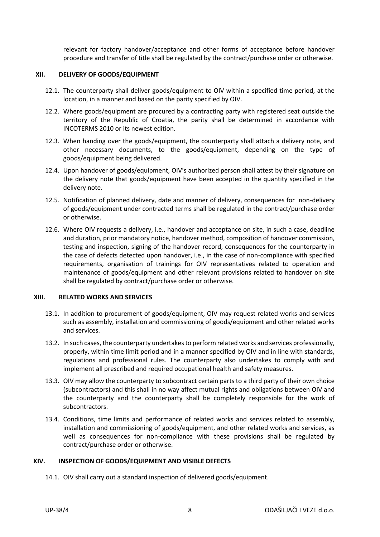relevant for factory handover/acceptance and other forms of acceptance before handover procedure and transfer of title shall be regulated by the contract/purchase order or otherwise.

#### <span id="page-7-0"></span>**XII. DELIVERY OF GOODS/EQUIPMENT**

- 12.1. The counterparty shall deliver goods/equipment to OIV within a specified time period, at the location, in a manner and based on the parity specified by OIV.
- 12.2. Where goods/equipment are procured by a contracting party with registered seat outside the territory of the Republic of Croatia, the parity shall be determined in accordance with INCOTERMS 2010 or its newest edition.
- 12.3. When handing over the goods/equipment, the counterparty shall attach a delivery note, and other necessary documents, to the goods/equipment, depending on the type of goods/equipment being delivered.
- 12.4. Upon handover of goods/equipment, OIV's authorized person shall attest by their signature on the delivery note that goods/equipment have been accepted in the quantity specified in the delivery note.
- 12.5. Notification of planned delivery, date and manner of delivery, consequences for non-delivery of goods/equipment under contracted terms shall be regulated in the contract/purchase order or otherwise.
- 12.6. Where OIV requests a delivery, i.e., handover and acceptance on site, in such a case, deadline and duration, prior mandatory notice, handover method, composition of handover commission, testing and inspection, signing of the handover record, consequences for the counterparty in the case of defects detected upon handover, i.e., in the case of non-compliance with specified requirements, organisation of trainings for OIV representatives related to operation and maintenance of goods/equipment and other relevant provisions related to handover on site shall be regulated by contract/purchase order or otherwise.

#### <span id="page-7-1"></span>**XIII. RELATED WORKS AND SERVICES**

- 13.1. In addition to procurement of goods/equipment, OIV may request related works and services such as assembly, installation and commissioning of goods/equipment and other related works and services.
- 13.2. In such cases, the counterparty undertakes to perform related works and services professionally, properly, within time limit period and in a manner specified by OIV and in line with standards, regulations and professional rules. The counterparty also undertakes to comply with and implement all prescribed and required occupational health and safety measures.
- 13.3. OIV may allow the counterparty to subcontract certain parts to a third party of their own choice (subcontractors) and this shall in no way affect mutual rights and obligations between OIV and the counterparty and the counterparty shall be completely responsible for the work of subcontractors.
- 13.4. Conditions, time limits and performance of related works and services related to assembly, installation and commissioning of goods/equipment, and other related works and services, as well as consequences for non-compliance with these provisions shall be regulated by contract/purchase order or otherwise.

# <span id="page-7-2"></span>**XIV. INSPECTION OF GOODS/EQUIPMENT AND VISIBLE DEFECTS**

14.1. OIV shall carry out a standard inspection of delivered goods/equipment.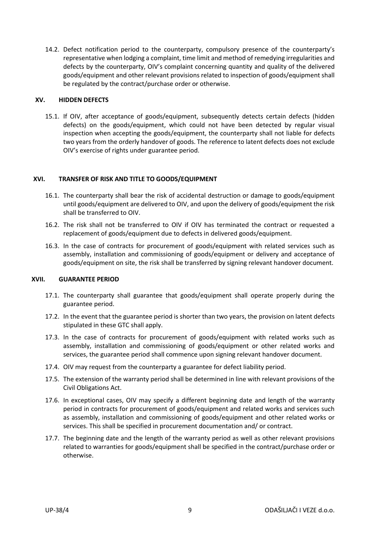14.2. Defect notification period to the counterparty, compulsory presence of the counterparty's representative when lodging a complaint, time limit and method of remedying irregularities and defects by the counterparty, OIV's complaint concerning quantity and quality of the delivered goods/equipment and other relevant provisions related to inspection of goods/equipment shall be regulated by the contract/purchase order or otherwise.

#### <span id="page-8-0"></span>**XV. HIDDEN DEFECTS**

15.1. If OIV, after acceptance of goods/equipment, subsequently detects certain defects (hidden defects) on the goods/equipment, which could not have been detected by regular visual inspection when accepting the goods/equipment, the counterparty shall not liable for defects two years from the orderly handover of goods. The reference to latent defects does not exclude OIV's exercise of rights under guarantee period.

### <span id="page-8-1"></span>**XVI. TRANSFER OF RISK AND TITLE TO GOODS/EQUIPMENT**

- 16.1. The counterparty shall bear the risk of accidental destruction or damage to goods/equipment until goods/equipment are delivered to OIV, and upon the delivery of goods/equipment the risk shall be transferred to OIV.
- 16.2. The risk shall not be transferred to OIV if OIV has terminated the contract or requested a replacement of goods/equipment due to defects in delivered goods/equipment.
- 16.3. In the case of contracts for procurement of goods/equipment with related services such as assembly, installation and commissioning of goods/equipment or delivery and acceptance of goods/equipment on site, the risk shall be transferred by signing relevant handover document.

#### <span id="page-8-2"></span>**XVII. GUARANTEE PERIOD**

- 17.1. The counterparty shall guarantee that goods/equipment shall operate properly during the guarantee period.
- 17.2. In the event that the guarantee period is shorter than two years, the provision on latent defects stipulated in these GTC shall apply.
- 17.3. In the case of contracts for procurement of goods/equipment with related works such as assembly, installation and commissioning of goods/equipment or other related works and services, the guarantee period shall commence upon signing relevant handover document.
- 17.4. OIV may request from the counterparty a guarantee for defect liability period.
- 17.5. The extension of the warranty period shall be determined in line with relevant provisions of the Civil Obligations Act.
- 17.6. In exceptional cases, OIV may specify a different beginning date and length of the warranty period in contracts for procurement of goods/equipment and related works and services such as assembly, installation and commissioning of goods/equipment and other related works or services. This shall be specified in procurement documentation and/ or contract.
- 17.7. The beginning date and the length of the warranty period as well as other relevant provisions related to warranties for goods/equipment shall be specified in the contract/purchase order or otherwise.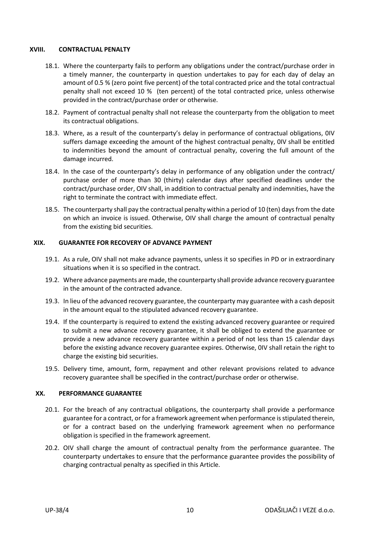#### <span id="page-9-0"></span>**XVIII. CONTRACTUAL PENALTY**

- <span id="page-9-3"></span>18.1. Where the counterparty fails to perform any obligations under the contract/purchase order in a timely manner, the counterparty in question undertakes to pay for each day of delay an amount of 0.5 % (zero point five percent) of the total contracted price and the total contractual penalty shall not exceed 10 % (ten percent) of the total contracted price, unless otherwise provided in the contract/purchase order or otherwise.
- 18.2. Payment of contractual penalty shall not release the counterparty from the obligation to meet its contractual obligations.
- 18.3. Where, as a result of the counterparty's delay in performance of contractual obligations, 0IV suffers damage exceeding the amount of the highest contractual penalty, 0IV shall be entitled to indemnities beyond the amount of contractual penalty, covering the full amount of the damage incurred.
- 18.4. In the case of the counterparty's delay in performance of any obligation under the contract/ purchase order of more than 30 (thirty) calendar days after specified deadlines under the contract/purchase order, OIV shall, in addition to contractual penalty and indemnities, have the right to terminate the contract with immediate effect.
- 18.5. The counterparty shall pay the contractual penalty within a period of 10 (ten) days from the date on which an invoice is issued. Otherwise, OIV shall charge the amount of contractual penalty from the existing bid securities.

### <span id="page-9-1"></span>**XIX. GUARANTEE FOR RECOVERY OF ADVANCE PAYMENT**

- 19.1. As a rule, OIV shall not make advance payments, unless it so specifies in PD or in extraordinary situations when it is so specified in the contract.
- 19.2. Where advance payments are made, the counterparty shall provide advance recovery guarantee in the amount of the contracted advance.
- 19.3. In lieu of the advanced recovery guarantee, the counterparty may guarantee with a cash deposit in the amount equal to the stipulated advanced recovery guarantee.
- 19.4. If the counterparty is required to extend the existing advanced recovery guarantee or required to submit a new advance recovery guarantee, it shall be obliged to extend the guarantee or provide a new advance recovery guarantee within a period of not less than 15 calendar days before the existing advance recovery guarantee expires. Otherwise, 0IV shall retain the right to charge the existing bid securities.
- 19.5. Delivery time, amount, form, repayment and other relevant provisions related to advance recovery guarantee shall be specified in the contract/purchase order or otherwise.

#### <span id="page-9-2"></span>**XX. PERFORMANCE GUARANTEE**

- 20.1. For the breach of any contractual obligations, the counterparty shall provide a performance guarantee for a contract, or for a framework agreement when performance is stipulated therein, or for a contract based on the underlying framework agreement when no performance obligation is specified in the framework agreement.
- 20.2. OIV shall charge the amount of contractual penalty from the performance guarantee. The counterparty undertakes to ensure that the performance guarantee provides the possibility of charging contractual penalty as specified in this Article.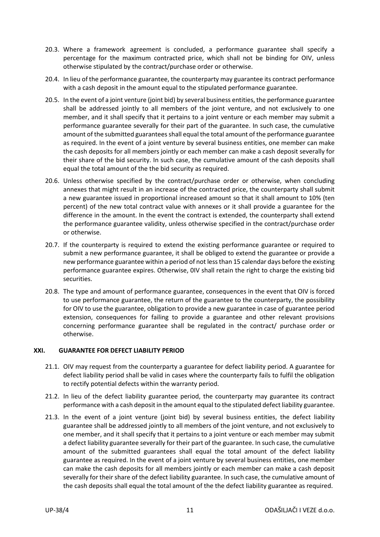- 20.3. Where a framework agreement is concluded, a performance guarantee shall specify a percentage for the maximum contracted price, which shall not be binding for OIV, unless otherwise stipulated by the contract/purchase order or otherwise.
- 20.4. In lieu of the performance guarantee, the counterparty may guarantee its contract performance with a cash deposit in the amount equal to the stipulated performance guarantee.
- 20.5. In the event of a joint venture (joint bid) by several business entities, the performance guarantee shall be addressed jointly to all members of the joint venture, and not exclusively to one member, and it shall specify that it pertains to a joint venture or each member may submit a performance guarantee severally for their part of the guarantee. In such case, the cumulative amount of the submitted guarantees shall equal the total amount of the performance guarantee as required. In the event of a joint venture by several business entities, one member can make the cash deposits for all members jointly or each member can make a cash deposit severally for their share of the bid security. In such case, the cumulative amount of the cash deposits shall equal the total amount of the the bid security as required.
- 20.6. Unless otherwise specified by the contract/purchase order or otherwise, when concluding annexes that might result in an increase of the contracted price, the counterparty shall submit a new guarantee issued in proportional increased amount so that it shall amount to 10% (ten percent) of the new total contract value with annexes or it shall provide a guarantee for the difference in the amount. In the event the contract is extended, the counterparty shall extend the performance guarantee validity, unless otherwise specified in the contract/purchase order or otherwise.
- 20.7. If the counterparty is required to extend the existing performance guarantee or required to submit a new performance guarantee, it shall be obliged to extend the guarantee or provide a new performance guarantee within a period of not less than 15 calendar days before the existing performance guarantee expires. Otherwise, 0IV shall retain the right to charge the existing bid securities.
- 20.8. The type and amount of performance guarantee, consequences in the event that OIV is forced to use performance guarantee, the return of the guarantee to the counterparty, the possibility for OIV to use the guarantee, obligation to provide a new guarantee in case of guarantee period extension, consequences for failing to provide a guarantee and other relevant provisions concerning performance guarantee shall be regulated in the contract/ purchase order or otherwise.

# <span id="page-10-0"></span>**XXI. GUARANTEE FOR DEFECT LIABILITY PERIOD**

- 21.1. OIV may request from the counterparty a guarantee for defect liability period. A guarantee for defect liability period shall be valid in cases where the counterparty fails to fulfil the obligation to rectify potential defects within the warranty period.
- 21.2. In lieu of the defect liability guarantee period, the counterparty may guarantee its contract performance with a cash deposit in the amount equal to the stipulated defect liability guarantee.
- 21.3. In the event of a joint venture (joint bid) by several business entities, the defect liability guarantee shall be addressed jointly to all members of the joint venture, and not exclusively to one member, and it shall specify that it pertains to a joint venture or each member may submit a defect liability guarantee severally for their part of the guarantee. In such case, the cumulative amount of the submitted guarantees shall equal the total amount of the defect liability guarantee as required. In the event of a joint venture by several business entities, one member can make the cash deposits for all members jointly or each member can make a cash deposit severally for their share of the defect liability guarantee. In such case, the cumulative amount of the cash deposits shall equal the total amount of the the defect liability guarantee as required.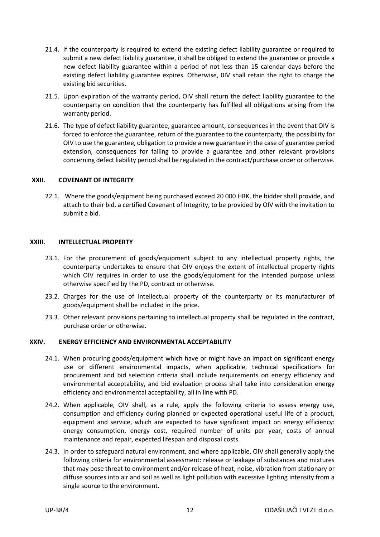- 21.4. If the counterparty is required to extend the existing defect liability guarantee or required to submit a new defect liability guarantee, it shall be obliged to extend the guarantee or provide a new defect liability guarantee within a period of not less than 15 calendar days before the existing defect liability guarantee expires. Otherwise, 0IV shall retain the right to charge the existing bid securities.
- 21.5. Upon expiration of the warranty period, OIV shall return the defect liability guarantee to the counterparty on condition that the counterparty has fulfilled all obligations arising from the warranty period.
- 21.6. The type of defect liability guarantee, guarantee amount, consequences in the event that OIV is forced to enforce the guarantee, return of the guarantee to the counterparty, the possibility for OIV to use the guarantee, obligation to provide a new guarantee in the case of guarantee period extension, consequences for failing to provide a guarantee and other relevant provisions concerning defect liability period shall be regulated in the contract/purchase order or otherwise.

### <span id="page-11-0"></span>**XXII. COVENANT OF INTEGRITY**

22.1. Where the goods/eqipment being purchased exceed 20 000 HRK, the bidder shall provide, and attach to their bid, a certified Covenant of Integrity, to be provided by OIV with the invitation to submit a bid.

#### <span id="page-11-1"></span>**XXIII. INTELLECTUAL PROPERTY**

- 23.1. For the procurement of goods/equipment subject to any intellectual property rights, the counterparty undertakes to ensure that OIV enjoys the extent of intellectual property rights which OIV requires in order to use the goods/equipment for the intended purpose unless otherwise specified by the PD, contract or otherwise.
- 23.2. Charges for the use of intellectual property of the counterparty or its manufacturer of goods/equipment shall be included in the price.
- 23.3. Other relevant provisions pertaining to intellectual property shall be regulated in the contract, purchase order or otherwise.

#### <span id="page-11-2"></span>**XXIV. ENERGY EFFICIENCY AND ENVIRONMENTAL ACCEPTABILITY**

- 24.1. When procuring goods/equipment which have or might have an impact on significant energy use or different environmental impacts, when applicable, technical specifications for procurement and bid selection criteria shall include requirements on energy efficiency and environmental acceptability, and bid evaluation process shall take into consideration energy efficiency and environmental acceptability, all in line with PD.
- 24.2. When applicable, OIV shall, as a rule, apply the following criteria to assess energy use, consumption and efficiency during planned or expected operational useful life of a product, equipment and service, which are expected to have significant impact on energy efficiency: energy consumption, energy cost, required number of units per year, costs of annual maintenance and repair, expected lifespan and disposal costs.
- 24.3. In order to safeguard natural environment, and where applicable, OIV shall generally apply the following criteria for environmental assessment: release or leakage of substances and mixtures that may pose threat to environment and/or release of heat, noise, vibration from stationary or diffuse sources into air and soil as well as light pollution with excessive lighting intensity from a single source to the environment.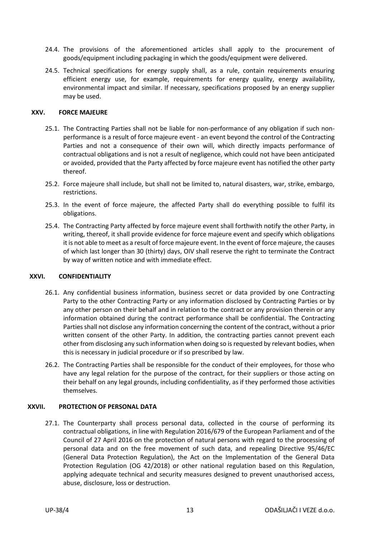- 24.4. The provisions of the aforementioned articles shall apply to the procurement of goods/equipment including packaging in which the goods/equipment were delivered.
- 24.5. Technical specifications for energy supply shall, as a rule, contain requirements ensuring efficient energy use, for example, requirements for energy quality, energy availability, environmental impact and similar. If necessary, specifications proposed by an energy supplier may be used.

#### <span id="page-12-0"></span>**XXV. FORCE MAJEURE**

- 25.1. The Contracting Parties shall not be liable for non-performance of any obligation if such nonperformance is a result of force majeure event - an event beyond the control of the Contracting Parties and not a consequence of their own will, which directly impacts performance of contractual obligations and is not a result of negligence, which could not have been anticipated or avoided, provided that the Party affected by force majeure event has notified the other party thereof.
- 25.2. Force majeure shall include, but shall not be limited to, natural disasters, war, strike, embargo, restrictions.
- 25.3. In the event of force majeure, the affected Party shall do everything possible to fulfil its obligations.
- 25.4. The Contracting Party affected by force majeure event shall forthwith notify the other Party, in writing, thereof, it shall provide evidence for force majeure event and specify which obligations it is not able to meet as a result of force majeure event. In the event of force majeure, the causes of which last longer than 30 (thirty) days, OIV shall reserve the right to terminate the Contract by way of written notice and with immediate effect.

#### <span id="page-12-1"></span>**XXVI. CONFIDENTIALITY**

- 26.1. Any confidential business information, business secret or data provided by one Contracting Party to the other Contracting Party or any information disclosed by Contracting Parties or by any other person on their behalf and in relation to the contract or any provision therein or any information obtained during the contract performance shall be confidential. The Contracting Parties shall not disclose any information concerning the content of the contract, without a prior written consent of the other Party. In addition, the contracting parties cannot prevent each other from disclosing any such information when doing so is requested by relevant bodies, when this is necessary in judicial procedure or if so prescribed by law.
- 26.2. The Contracting Parties shall be responsible for the conduct of their employees, for those who have any legal relation for the purpose of the contract, for their suppliers or those acting on their behalf on any legal grounds, including confidentiality, as if they performed those activities themselves.

#### <span id="page-12-2"></span>**XXVII. PROTECTION OF PERSONAL DATA**

27.1. The Counterparty shall process personal data, collected in the course of performing its contractual obligations, in line with Regulation 2016/679 of the European Parliament and of the Council of 27 April 2016 on the protection of natural persons with regard to the processing of personal data and on the free movement of such data, and repealing Directive 95/46/EC (General Data Protection Regulation), the Act on the Implementation of the General Data Protection Regulation (OG 42/2018) or other national regulation based on this Regulation, applying adequate technical and security measures designed to prevent unauthorised access, abuse, disclosure, loss or destruction.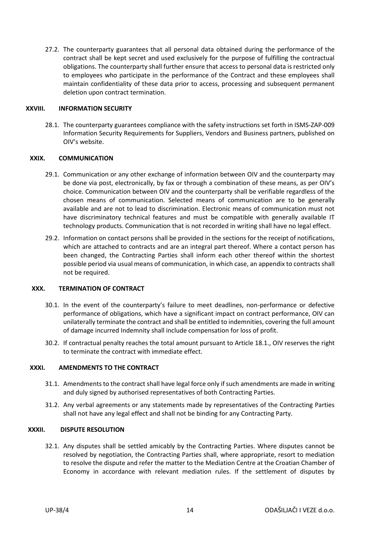27.2. The counterparty guarantees that all personal data obtained during the performance of the contract shall be kept secret and used exclusively for the purpose of fulfilling the contractual obligations. The counterparty shall further ensure that access to personal data is restricted only to employees who participate in the performance of the Contract and these employees shall maintain confidentiality of these data prior to access, processing and subsequent permanent deletion upon contract termination.

#### <span id="page-13-0"></span>**XXVIII. INFORMATION SECURITY**

28.1. The counterparty guarantees compliance with the safety instructions set forth in ISMS-ZAP-009 Information Security Requirements for Suppliers, Vendors and Business partners, published on OIV's website.

#### <span id="page-13-1"></span>**XXIX. COMMUNICATION**

- 29.1. Communication or any other exchange of information between OIV and the counterparty may be done via post, electronically, by fax or through a combination of these means, as per OIV's choice. Communication between OIV and the counterparty shall be verifiable regardless of the chosen means of communication. Selected means of communication are to be generally available and are not to lead to discrimination. Electronic means of communication must not have discriminatory technical features and must be compatible with generally available IT technology products. Communication that is not recorded in writing shall have no legal effect.
- 29.2. Information on contact persons shall be provided in the sections for the receipt of notifications, which are attached to contracts and are an integral part thereof. Where a contact person has been changed, the Contracting Parties shall inform each other thereof within the shortest possible period via usual means of communication, in which case, an appendix to contracts shall not be required.

#### <span id="page-13-2"></span>**XXX. TERMINATION OF CONTRACT**

- 30.1. In the event of the counterparty's failure to meet deadlines, non-performance or defective performance of obligations, which have a significant impact on contract performance, OIV can unilaterally terminate the contract and shall be entitled to indemnities, covering the full amount of damage incurred Indemnity shall include compensation for loss of profit.
- 30.2. If contractual penalty reaches the total amount pursuant to Articl[e 18.1.](#page-9-3), OIV reserves the right to terminate the contract with immediate effect.

#### <span id="page-13-3"></span>**XXXI. AMENDMENTS TO THE CONTRACT**

- 31.1. Amendments to the contract shall have legal force only if such amendments are made in writing and duly signed by authorised representatives of both Contracting Parties.
- <span id="page-13-4"></span>31.2. Any verbal agreements or any statements made by representatives of the Contracting Parties shall not have any legal effect and shall not be binding for any Contracting Party.

#### **XXXII. DISPUTE RESOLUTION**

32.1. Any disputes shall be settled amicably by the Contracting Parties. Where disputes cannot be resolved by negotiation, the Contracting Parties shall, where appropriate, resort to mediation to resolve the dispute and refer the matter to the Mediation Centre at the Croatian Chamber of Economy in accordance with relevant mediation rules. If the settlement of disputes by